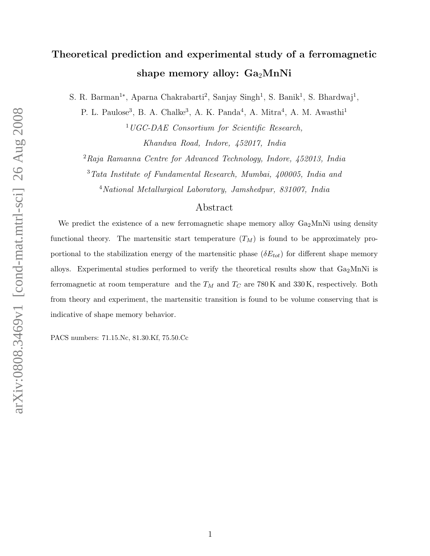# Theoretical prediction and experimental study of a ferromagnetic shape memory alloy:  $Ga<sub>2</sub>MnNi$

S. R. Barman<sup>1</sup>\*, Aparna Chakrabarti<sup>2</sup>, Sanjay Singh<sup>1</sup>, S. Banik<sup>1</sup>, S. Bhardwaj<sup>1</sup>,

P. L. Paulose<sup>3</sup>, B. A. Chalke<sup>3</sup>, A. K. Panda<sup>4</sup>, A. Mitra<sup>4</sup>, A. M. Awasthi<sup>1</sup>

<sup>1</sup>UGC-DAE Consortium for Scientific Research, Khandwa Road, Indore, 452017, India

<sup>2</sup>Raja Ramanna Centre for Advanced Technology, Indore, 452013, India

<sup>3</sup>Tata Institute of Fundamental Research, Mumbai, 400005, India and

<sup>4</sup>National Metallurgical Laboratory, Jamshedpur, 831007, India

## Abstract

We predict the existence of a new ferromagnetic shape memory alloy  $Ga_2MnNi$  using density functional theory. The martensitic start temperature  $(T_M)$  is found to be approximately proportional to the stabilization energy of the martensitic phase  $(\delta E_{tot})$  for different shape memory alloys. Experimental studies performed to verify the theoretical results show that  $Ga<sub>2</sub>MnNi$  is ferromagnetic at room temperature and the  $T_M$  and  $T_C$  are 780 K and 330 K, respectively. Both from theory and experiment, the martensitic transition is found to be volume conserving that is indicative of shape memory behavior.

PACS numbers: 71.15.Nc, 81.30.Kf, 75.50.Cc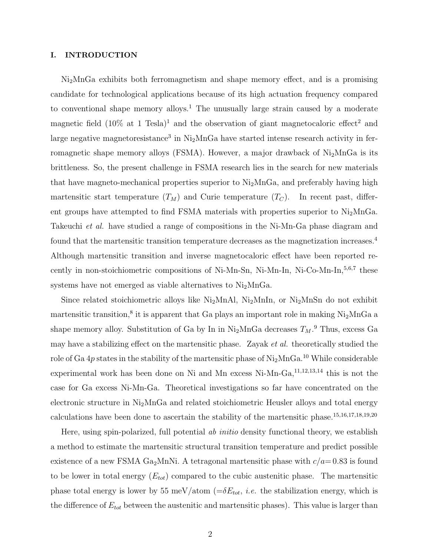## I. INTRODUCTION

Ni2MnGa exhibits both ferromagnetism and shape memory effect, and is a promising candidate for technological applications because of its high actuation frequency compared to conventional shape memory alloys.<sup>1</sup> The unusually large strain caused by a moderate magnetic field  $(10\%$  at 1 Tesla)<sup>1</sup> and the observation of giant magnetocaloric effect<sup>2</sup> and large negative magnetoresistance<sup>3</sup> in  $Ni<sub>2</sub>MnGa$  have started intense research activity in ferromagnetic shape memory alloys (FSMA). However, a major drawback of  $Ni<sub>2</sub>MnGa$  is its brittleness. So, the present challenge in FSMA research lies in the search for new materials that have magneto-mechanical properties superior to  $Ni<sub>2</sub>MnGa$ , and preferably having high martensitic start temperature  $(T_M)$  and Curie temperature  $(T_C)$ . In recent past, different groups have attempted to find FSMA materials with properties superior to Ni2MnGa. Takeuchi *et al.* have studied a range of compositions in the Ni-Mn-Ga phase diagram and found that the martensitic transition temperature decreases as the magnetization increases.<sup>4</sup> Although martensitic transition and inverse magnetocaloric effect have been reported recently in non-stoichiometric compositions of Ni-Mn-Sn, Ni-Mn-In, Ni-Co-Mn-In, $5,6,7$  these systems have not emerged as viable alternatives to  $Ni<sub>2</sub>MnGa$ .

Since related stoichiometric alloys like  $Ni<sub>2</sub>MnAl$ ,  $Ni<sub>2</sub>MnIn$ , or  $Ni<sub>2</sub>MnSn$  do not exhibit martensitic transition,<sup>8</sup> it is apparent that Ga plays an important role in making Ni<sub>2</sub>MnGa a shape memory alloy. Substitution of Ga by In in Ni<sub>2</sub>MnGa decreases  $T_M$ .<sup>9</sup> Thus, excess Ga may have a stabilizing effect on the martensitic phase. Zayak *et al.* theoretically studied the role of Ga  $4p$  states in the stability of the martensitic phase of  $Ni<sub>2</sub>MnGa.<sup>10</sup>$  While considerable experimental work has been done on Ni and Mn excess Ni-Mn-Ga, $^{11,12,13,14}$  this is not the case for Ga excess Ni-Mn-Ga. Theoretical investigations so far have concentrated on the electronic structure in Ni2MnGa and related stoichiometric Heusler alloys and total energy calculations have been done to ascertain the stability of the martensitic phase.15,16,17,18,19,20

Here, using spin-polarized, full potential ab initio density functional theory, we establish a method to estimate the martensitic structural transition temperature and predict possible existence of a new FSMA Ga<sub>2</sub>MnNi. A tetragonal martensitic phase with  $c/a = 0.83$  is found to be lower in total energy  $(E_{tot})$  compared to the cubic austenitic phase. The martensitic phase total energy is lower by 55 meV/atom ( $=\delta E_{tot}$ , *i.e.* the stabilization energy, which is the difference of  $E_{tot}$  between the austenitic and martensitic phases). This value is larger than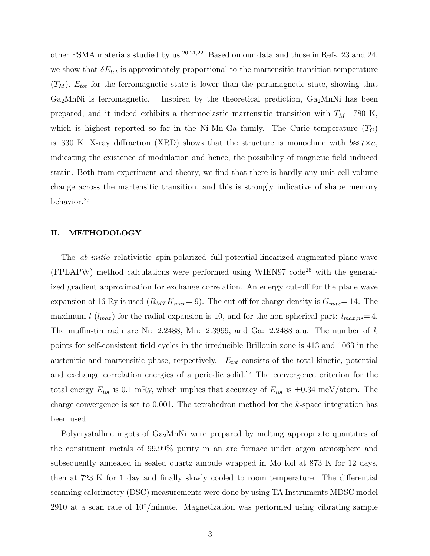other FSMA materials studied by us.<sup>20,21,22</sup> Based on our data and those in Refs. 23 and 24, we show that  $\delta E_{tot}$  is approximately proportional to the martensitic transition temperature  $(T_M)$ .  $E_{tot}$  for the ferromagnetic state is lower than the paramagnetic state, showing that  $Ga<sub>2</sub>MnNi$  is ferromagnetic. Inspired by the theoretical prediction,  $Ga<sub>2</sub>MnNi$  has been prepared, and it indeed exhibits a thermoelastic martensitic transition with  $T_M$ = 780 K, which is highest reported so far in the Ni-Mn-Ga family. The Curie temperature  $(T_C)$ is 330 K. X-ray diffraction (XRD) shows that the structure is monoclinic with  $b \approx 7 \times a$ , indicating the existence of modulation and hence, the possibility of magnetic field induced strain. Both from experiment and theory, we find that there is hardly any unit cell volume change across the martensitic transition, and this is strongly indicative of shape memory behavior.<sup>25</sup>

## II. METHODOLOGY

The ab-initio relativistic spin-polarized full-potential-linearized-augmented-plane-wave (FPLAPW) method calculations were performed using WIEN97  $\text{code}^{26}$  with the generalized gradient approximation for exchange correlation. An energy cut-off for the plane wave expansion of 16 Ry is used  $(R_{MT}K_{max}=9)$ . The cut-off for charge density is  $G_{max}=14$ . The maximum l  $(l_{max})$  for the radial expansion is 10, and for the non-spherical part:  $l_{max,ns}=4$ . The muffin-tin radii are Ni: 2.2488, Mn: 2.3999, and Ga: 2.2488 a.u. The number of  $k$ points for self-consistent field cycles in the irreducible Brillouin zone is 413 and 1063 in the austenitic and martensitic phase, respectively.  $E_{tot}$  consists of the total kinetic, potential and exchange correlation energies of a periodic solid.<sup>27</sup> The convergence criterion for the total energy  $E_{tot}$  is 0.1 mRy, which implies that accuracy of  $E_{tot}$  is  $\pm 0.34$  meV/atom. The charge convergence is set to  $0.001$ . The tetrahedron method for the k-space integration has been used.

Polycrystalline ingots of  $Ga<sub>2</sub>MnNi$  were prepared by melting appropriate quantities of the constituent metals of 99.99% purity in an arc furnace under argon atmosphere and subsequently annealed in sealed quartz ampule wrapped in Mo foil at 873 K for 12 days, then at 723 K for 1 day and finally slowly cooled to room temperature. The differential scanning calorimetry (DSC) measurements were done by using TA Instruments MDSC model 2910 at a scan rate of  $10°/\text{minute}$ . Magnetization was performed using vibrating sample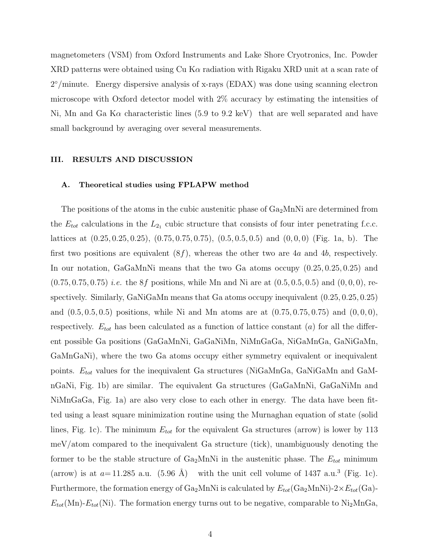magnetometers (VSM) from Oxford Instruments and Lake Shore Cryotronics, Inc. Powder XRD patterns were obtained using  $Cu K\alpha$  radiation with Rigaku XRD unit at a scan rate of 2 ◦/minute. Energy dispersive analysis of x-rays (EDAX) was done using scanning electron microscope with Oxford detector model with 2% accuracy by estimating the intensities of Ni, Mn and Ga K $\alpha$  characteristic lines (5.9 to 9.2 keV) that are well separated and have small background by averaging over several measurements.

#### III. RESULTS AND DISCUSSION

## A. Theoretical studies using FPLAPW method

The positions of the atoms in the cubic austenitic phase of  $Ga<sub>2</sub>MnNi$  are determined from the  $E_{tot}$  calculations in the  $L_{21}$  cubic structure that consists of four inter penetrating f.c.c. lattices at  $(0.25, 0.25, 0.25), (0.75, 0.75, 0.75), (0.5, 0.5, 0.5)$  and  $(0, 0, 0)$  (Fig. 1a, b). The first two positions are equivalent  $(8f)$ , whereas the other two are 4a and 4b, respectively. In our notation, GaGaMnNi means that the two Ga atoms occupy (0.25, 0.25, 0.25) and  $(0.75, 0.75, 0.75)$  *i.e.* the 8*f* positions, while Mn and Ni are at  $(0.5, 0.5, 0.5)$  and  $(0, 0, 0)$ , respectively. Similarly, GaNiGaMn means that Ga atoms occupy inequivalent (0.25, 0.25, 0.25) and  $(0.5, 0.5, 0.5)$  positions, while Ni and Mn atoms are at  $(0.75, 0.75, 0.75)$  and  $(0, 0, 0)$ , respectively.  $E_{tot}$  has been calculated as a function of lattice constant (a) for all the different possible Ga positions (GaGaMnNi, GaGaNiMn, NiMnGaGa, NiGaMnGa, GaNiGaMn, GaMnGaNi), where the two Ga atoms occupy either symmetry equivalent or inequivalent points.  $E_{tot}$  values for the inequivalent Ga structures (NiGaMnGa, GaNiGaMn and GaMnGaNi, Fig. 1b) are similar. The equivalent Ga structures (GaGaMnNi, GaGaNiMn and NiMnGaGa, Fig. 1a) are also very close to each other in energy. The data have been fitted using a least square minimization routine using the Murnaghan equation of state (solid lines, Fig. 1c). The minimum  $E_{tot}$  for the equivalent Ga structures (arrow) is lower by 113 meV/atom compared to the inequivalent Ga structure (tick), unambiguously denoting the former to be the stable structure of  $Ga<sub>2</sub>MnNi$  in the austenitic phase. The  $E<sub>tot</sub>$  minimum (arrow) is at  $a=11.285$  a.u.  $(5.96 \text{ Å})$  with the unit cell volume of 1437 a.u.<sup>3</sup> (Fig. 1c). Furthermore, the formation energy of  $Ga_2MnNi$  is calculated by  $E_{tot}(Ga_2MnNi)-2\times E_{tot}(Ga)$ - $E_{tot}(\text{Mn})-E_{tot}(\text{Ni})$ . The formation energy turns out to be negative, comparable to Ni<sub>2</sub>MnGa,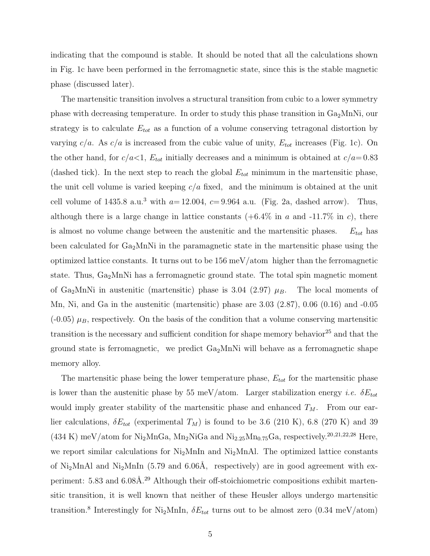indicating that the compound is stable. It should be noted that all the calculations shown in Fig. 1c have been performed in the ferromagnetic state, since this is the stable magnetic phase (discussed later).

The martensitic transition involves a structural transition from cubic to a lower symmetry phase with decreasing temperature. In order to study this phase transition in  $Ga<sub>2</sub>MnNi$ , our strategy is to calculate  $E_{tot}$  as a function of a volume conserving tetragonal distortion by varying  $c/a$ . As  $c/a$  is increased from the cubic value of unity,  $E_{tot}$  increases (Fig. 1c). On the other hand, for  $c/a < 1$ ,  $E_{tot}$  initially decreases and a minimum is obtained at  $c/a = 0.83$ (dashed tick). In the next step to reach the global  $E_{tot}$  minimum in the martensitic phase, the unit cell volume is varied keeping  $c/a$  fixed, and the minimum is obtained at the unit cell volume of 1435.8 a.u.<sup>3</sup> with  $a=12.004$ ,  $c=9.964$  a.u. (Fig. 2a, dashed arrow). Thus, although there is a large change in lattice constants  $(+6.4\%$  in a and  $-11.7\%$  in c), there is almost no volume change between the austenitic and the martensitic phases.  $E_{tot}$  has been calculated for  $Ga_2MnNi$  in the paramagnetic state in the martensitic phase using the optimized lattice constants. It turns out to be  $156 \text{ meV} / \text{atom}$  higher than the ferromagnetic state. Thus,  $Ga<sub>2</sub>MnNi$  has a ferromagnetic ground state. The total spin magnetic moment of Ga<sub>2</sub>MnNi in austenitic (martensitic) phase is 3.04 (2.97)  $\mu_B$ . The local moments of Mn, Ni, and Ga in the austenitic (martensitic) phase are 3.03 (2.87), 0.06 (0.16) and -0.05  $(-0.05)$   $\mu$ <sub>B</sub>, respectively. On the basis of the condition that a volume conserving martensitic transition is the necessary and sufficient condition for shape memory behavior<sup>25</sup> and that the ground state is ferromagnetic, we predict  $Ga<sub>2</sub>MnNi$  will behave as a ferromagnetic shape memory alloy.

The martensitic phase being the lower temperature phase,  $E_{tot}$  for the martensitic phase is lower than the austenitic phase by 55 meV/atom. Larger stabilization energy *i.e.*  $\delta E_{tot}$ would imply greater stability of the martensitic phase and enhanced  $T_M$ . From our earlier calculations,  $\delta E_{tot}$  (experimental  $T_M$ ) is found to be 3.6 (210 K), 6.8 (270 K) and 39 (434 K) meV/atom for Ni<sub>2</sub>MnGa, Mn<sub>2</sub>NiGa and Ni<sub>2.25</sub>Mn<sub>0.75</sub>Ga, respectively.<sup>20,21,22,28</sup> Here, we report similar calculations for  $Ni<sub>2</sub>MnIn$  and  $Ni<sub>2</sub>MnAnIn$ . The optimized lattice constants of Ni<sub>2</sub>MnAl and Ni<sub>2</sub>MnIn (5.79 and 6.06Å, respectively) are in good agreement with experiment:  $5.83$  and  $6.08\text{\AA}$ .<sup>29</sup> Although their off-stoichiometric compositions exhibit martensitic transition, it is well known that neither of these Heusler alloys undergo martensitic transition.<sup>8</sup> Interestingly for Ni<sub>2</sub>MnIn,  $\delta E_{tot}$  turns out to be almost zero (0.34 meV/atom)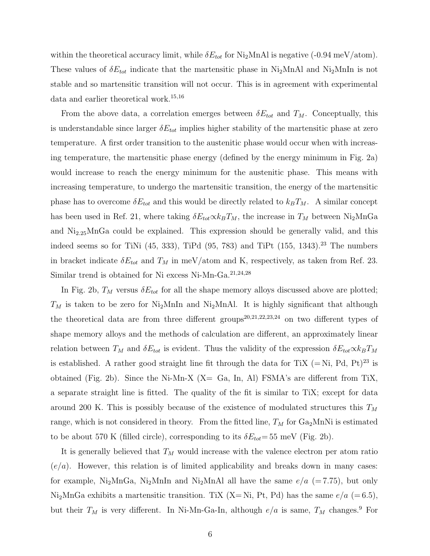within the theoretical accuracy limit, while  $\delta E_{tot}$  for Ni<sub>2</sub>MnAl is negative (-0.94 meV/atom). These values of  $\delta E_{tot}$  indicate that the martensitic phase in Ni<sub>2</sub>MnAl and Ni<sub>2</sub>MnIn is not stable and so martensitic transition will not occur. This is in agreement with experimental data and earlier theoretical work.<sup>15,16</sup>

From the above data, a correlation emerges between  $\delta E_{tot}$  and  $T_M$ . Conceptually, this is understandable since larger  $\delta E_{tot}$  implies higher stability of the martensitic phase at zero temperature. A first order transition to the austenitic phase would occur when with increasing temperature, the martensitic phase energy (defined by the energy minimum in Fig. 2a) would increase to reach the energy minimum for the austenitic phase. This means with increasing temperature, to undergo the martensitic transition, the energy of the martensitic phase has to overcome  $\delta E_{tot}$  and this would be directly related to  $k_B T_M$ . A similar concept has been used in Ref. 21, where taking  $\delta E_{tot} \propto k_B T_M$ , the increase in  $T_M$  between Ni<sub>2</sub>MnGa and  $Ni<sub>2.25</sub>MnGa$  could be explained. This expression should be generally valid, and this indeed seems so for TiNi  $(45, 333)$ , TiPd  $(95, 783)$  and TiPt  $(155, 1343)$ .<sup>23</sup> The numbers in bracket indicate  $\delta E_{tot}$  and  $T_M$  in meV/atom and K, respectively, as taken from Ref. 23. Similar trend is obtained for Ni excess Ni-Mn-Ga.21,24,28

In Fig. 2b,  $T_M$  versus  $\delta E_{tot}$  for all the shape memory alloys discussed above are plotted;  $T_M$  is taken to be zero for Ni<sub>2</sub>MnIn and Ni<sub>2</sub>MnAl. It is highly significant that although the theoretical data are from three different groups<sup>20,21,22,23,24</sup> on two different types of shape memory alloys and the methods of calculation are different, an approximately linear relation between  $T_M$  and  $\delta E_{tot}$  is evident. Thus the validity of the expression  $\delta E_{tot} \propto k_B T_M$ is established. A rather good straight line fit through the data for TiX  $(= Ni, Pd, Pt)<sup>23</sup>$  is obtained (Fig. 2b). Since the Ni-Mn-X  $(X = Ga, In, Al)$  FSMA's are different from TiX, a separate straight line is fitted. The quality of the fit is similar to TiX; except for data around 200 K. This is possibly because of the existence of modulated structures this  $T_M$ range, which is not considered in theory. From the fitted line,  $T_M$  for  $Ga_2MnNi$  is estimated to be about 570 K (filled circle), corresponding to its  $\delta E_{tot}$ = 55 meV (Fig. 2b).

It is generally believed that  $T_M$  would increase with the valence electron per atom ratio  $(e/a)$ . However, this relation is of limited applicability and breaks down in many cases: for example, Ni<sub>2</sub>MnGa, Ni<sub>2</sub>MnIn and Ni<sub>2</sub>MnAl all have the same  $e/a$  (=7.75), but only Ni<sub>2</sub>MnGa exhibits a martensitic transition. TiX (X= Ni, Pt, Pd) has the same  $e/a$  (=6.5), but their  $T_M$  is very different. In Ni-Mn-Ga-In, although  $e/a$  is same,  $T_M$  changes.<sup>9</sup> For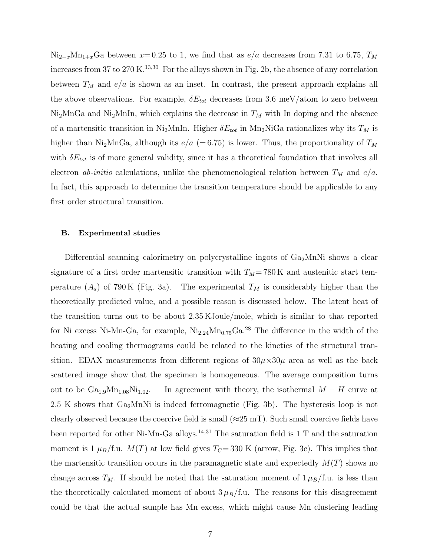$Ni_{2-x}Mn_{1+x}Ga$  between  $x=0.25$  to 1, we find that as  $e/a$  decreases from 7.31 to 6.75,  $T_M$ increases from 37 to 270 K.<sup>13,30</sup> For the alloys shown in Fig. 2b, the absence of any correlation between  $T_M$  and  $e/a$  is shown as an inset. In contrast, the present approach explains all the above observations. For example,  $\delta E_{tot}$  decreases from 3.6 meV/atom to zero between  $Ni<sub>2</sub>MnGa$  and  $Ni<sub>2</sub>MnIn$ , which explains the decrease in  $T_M$  with In doping and the absence of a martensitic transition in Ni<sub>2</sub>MnIn. Higher  $\delta E_{tot}$  in Mn<sub>2</sub>NiGa rationalizes why its  $T_M$  is higher than Ni<sub>2</sub>MnGa, although its  $e/a$  (=6.75) is lower. Thus, the proportionality of  $T_M$ with  $\delta E_{tot}$  is of more general validity, since it has a theoretical foundation that involves all electron *ab-initio* calculations, unlike the phenomenological relation between  $T_M$  and  $e/a$ . In fact, this approach to determine the transition temperature should be applicable to any first order structural transition.

#### B. Experimental studies

Differential scanning calorimetry on polycrystalline ingots of  $Ga<sub>2</sub>MnNi$  shows a clear signature of a first order martensitic transition with  $T_M$ = 780 K and austenitic start temperature  $(A_s)$  of 790 K (Fig. 3a). The experimental  $T_M$  is considerably higher than the theoretically predicted value, and a possible reason is discussed below. The latent heat of the transition turns out to be about 2.35 KJoule/mole, which is similar to that reported for Ni excess Ni-Mn-Ga, for example,  $Ni_{2.24}Mn_{0.75}Ga^{28}$  The difference in the width of the heating and cooling thermograms could be related to the kinetics of the structural transition. EDAX measurements from different regions of  $30\mu\times30\mu$  area as well as the back scattered image show that the specimen is homogeneous. The average composition turns out to be  $Ga_{1.9}Mn_{1.08}Ni_{1.02}$ . In agreement with theory, the isothermal  $M-H$  curve at 2.5 K shows that  $Ga_2MnNi$  is indeed ferromagnetic (Fig. 3b). The hysteresis loop is not clearly observed because the coercive field is small ( $\approx$ 25 mT). Such small coercive fields have been reported for other Ni-Mn-Ga alloys.<sup>14,31</sup> The saturation field is  $1$  T and the saturation moment is 1  $\mu_B$ /f.u.  $M(T)$  at low field gives  $T_C$ = 330 K (arrow, Fig. 3c). This implies that the martensitic transition occurs in the paramagnetic state and expectedly  $M(T)$  shows no change across  $T_M$ . If should be noted that the saturation moment of  $1 \mu_B/f$ .u. is less than the theoretically calculated moment of about  $3 \mu_B/f.u.$  The reasons for this disagreement could be that the actual sample has Mn excess, which might cause Mn clustering leading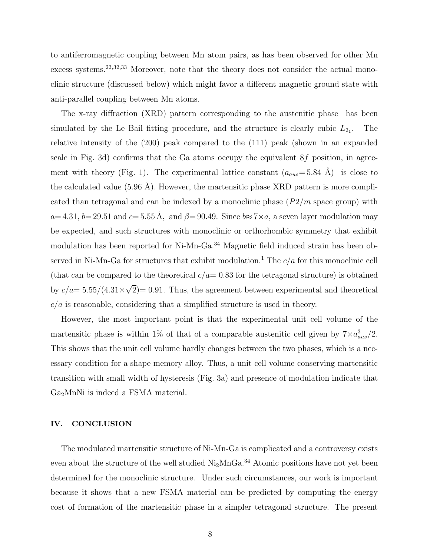to antiferromagnetic coupling between Mn atom pairs, as has been observed for other Mn excess systems.22,32,33 Moreover, note that the theory does not consider the actual monoclinic structure (discussed below) which might favor a different magnetic ground state with anti-parallel coupling between Mn atoms.

The x-ray diffraction (XRD) pattern corresponding to the austenitic phase has been simulated by the Le Bail fitting procedure, and the structure is clearly cubic  $L_{2_1}$ . .'The relative intensity of the (200) peak compared to the (111) peak (shown in an expanded scale in Fig. 3d) confirms that the Ga atoms occupy the equivalent  $8f$  position, in agreement with theory (Fig. 1). The experimental lattice constant  $(a_{aus}=5.84 \text{ Å})$  is close to the calculated value  $(5.96 \text{ Å})$ . However, the martensitic phase XRD pattern is more complicated than tetragonal and can be indexed by a monoclinic phase  $(P2/m)$  space group) with  $a=4.31, b= 29.51$  and  $c= 5.55 \text{ Å}$ , and  $\beta= 90.49$ . Since  $b\approx 7\times a$ , a seven layer modulation may be expected, and such structures with monoclinic or orthorhombic symmetry that exhibit modulation has been reported for Ni-Mn-Ga.<sup>34</sup> Magnetic field induced strain has been observed in Ni-Mn-Ga for structures that exhibit modulation.<sup>1</sup> The  $c/a$  for this monoclinic cell (that can be compared to the theoretical  $c/a = 0.83$  for the tetragonal structure) is obtained by  $c/a = 5.55/(4.31 \times \sqrt{2}) = 0.91$ . Thus, the agreement between experimental and theoretical  $c/a$  is reasonable, considering that a simplified structure is used in theory.

However, the most important point is that the experimental unit cell volume of the martensitic phase is within 1% of that of a comparable austenitic cell given by  $7 \times a_{aus}^3/2$ . This shows that the unit cell volume hardly changes between the two phases, which is a necessary condition for a shape memory alloy. Thus, a unit cell volume conserving martensitic transition with small width of hysteresis (Fig. 3a) and presence of modulation indicate that Ga2MnNi is indeed a FSMA material.

## IV. CONCLUSION

The modulated martensitic structure of Ni-Mn-Ga is complicated and a controversy exists even about the structure of the well studied  $Ni<sub>2</sub>MnGa.<sup>34</sup>$  Atomic positions have not yet been determined for the monoclinic structure. Under such circumstances, our work is important because it shows that a new FSMA material can be predicted by computing the energy cost of formation of the martensitic phase in a simpler tetragonal structure. The present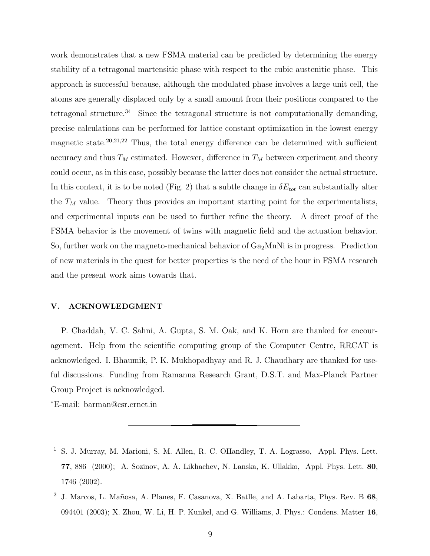work demonstrates that a new FSMA material can be predicted by determining the energy stability of a tetragonal martensitic phase with respect to the cubic austenitic phase. This approach is successful because, although the modulated phase involves a large unit cell, the atoms are generally displaced only by a small amount from their positions compared to the tetragonal structure.<sup>34</sup> Since the tetragonal structure is not computationally demanding, precise calculations can be performed for lattice constant optimization in the lowest energy magnetic state.<sup>20,21,22</sup> Thus, the total energy difference can be determined with sufficient accuracy and thus  $T_M$  estimated. However, difference in  $T_M$  between experiment and theory could occur, as in this case, possibly because the latter does not consider the actual structure. In this context, it is to be noted (Fig. 2) that a subtle change in  $\delta E_{tot}$  can substantially alter the  $T_M$  value. Theory thus provides an important starting point for the experimentalists, and experimental inputs can be used to further refine the theory. A direct proof of the FSMA behavior is the movement of twins with magnetic field and the actuation behavior. So, further work on the magneto-mechanical behavior of  $Ga<sub>2</sub>MnNi$  is in progress. Prediction of new materials in the quest for better properties is the need of the hour in FSMA research and the present work aims towards that.

## V. ACKNOWLEDGMENT

P. Chaddah, V. C. Sahni, A. Gupta, S. M. Oak, and K. Horn are thanked for encouragement. Help from the scientific computing group of the Computer Centre, RRCAT is acknowledged. I. Bhaumik, P. K. Mukhopadhyay and R. J. Chaudhary are thanked for useful discussions. Funding from Ramanna Research Grant, D.S.T. and Max-Planck Partner Group Project is acknowledged.

<sup>∗</sup>E-mail: barman@csr.ernet.in

- <sup>1</sup> S. J. Murray, M. Marioni, S. M. Allen, R. C. OHandley, T. A. Lograsso, Appl. Phys. Lett. 77, 886 (2000); A. Sozinov, A. A. Likhachev, N. Lanska, K. Ullakko, Appl. Phys. Lett. 80, 1746 (2002).
- <sup>2</sup> J. Marcos, L. Mañosa, A. Planes, F. Casanova, X. Batlle, and A. Labarta, Phys. Rev. B  $68$ , 094401 (2003); X. Zhou, W. Li, H. P. Kunkel, and G. Williams, J. Phys.: Condens. Matter 16,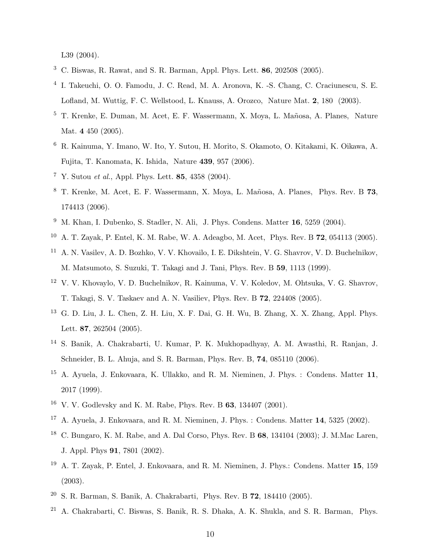L39 (2004).

- <sup>3</sup> C. Biswas, R. Rawat, and S. R. Barman, Appl. Phys. Lett. 86, 202508 (2005).
- 4 I. Takeuchi, O. O. Famodu, J. C. Read, M. A. Aronova, K. -S. Chang, C. Craciunescu, S. E. Lofland, M. Wuttig, F. C. Wellstood, L. Knauss, A. Orozco, Nature Mat. 2, 180 (2003).
- <sup>5</sup> T. Krenke, E. Duman, M. Acet, E. F. Wassermann, X. Moya, L. Mañosa, A. Planes, Nature Mat. 4 450 (2005).
- <sup>6</sup> R. Kainuma, Y. Imano, W. Ito, Y. Sutou, H. Morito, S. Okamoto, O. Kitakami, K. Oikawa, A. Fujita, T. Kanomata, K. Ishida, Nature 439, 957 (2006).
- <sup>7</sup> Y. Sutou *et al.*, Appl. Phys. Lett. **85**, 4358 (2004).
- <sup>8</sup> T. Krenke, M. Acet, E. F. Wassermann, X. Moya, L. Ma˜nosa, A. Planes, Phys. Rev. B 73, 174413 (2006).
- <sup>9</sup> M. Khan, I. Dubenko, S. Stadler, N. Ali, J. Phys. Condens. Matter 16, 5259 (2004).
- <sup>10</sup> A. T. Zayak, P. Entel, K. M. Rabe, W. A. Adeagbo, M. Acet, Phys. Rev. B 72, 054113 (2005).
- <sup>11</sup> A. N. Vasilev, A. D. Bozhko, V. V. Khovailo, I. E. Dikshtein, V. G. Shavrov, V. D. Buchelnikov, M. Matsumoto, S. Suzuki, T. Takagi and J. Tani, Phys. Rev. B 59, 1113 (1999).
- <sup>12</sup> V. V. Khovaylo, V. D. Buchelnikov, R. Kainuma, V. V. Koledov, M. Ohtsuka, V. G. Shavrov, T. Takagi, S. V. Taskaev and A. N. Vasiliev, Phys. Rev. B 72, 224408 (2005).
- <sup>13</sup> G. D. Liu, J. L. Chen, Z. H. Liu, X. F. Dai, G. H. Wu, B. Zhang, X. X. Zhang, Appl. Phys. Lett. 87, 262504 (2005).
- <sup>14</sup> S. Banik, A. Chakrabarti, U. Kumar, P. K. Mukhopadhyay, A. M. Awasthi, R. Ranjan, J. Schneider, B. L. Ahuja, and S. R. Barman, Phys. Rev. B, 74, 085110 (2006).
- <sup>15</sup> A. Ayuela, J. Enkovaara, K. Ullakko, and R. M. Nieminen, J. Phys. : Condens. Matter 11, 2017 (1999).
- <sup>16</sup> V. V. Godlevsky and K. M. Rabe, Phys. Rev. B 63, 134407 (2001).
- <sup>17</sup> A. Ayuela, J. Enkovaara, and R. M. Nieminen, J. Phys. : Condens. Matter 14, 5325 (2002).
- <sup>18</sup> C. Bungaro, K. M. Rabe, and A. Dal Corso, Phys. Rev. B 68, 134104 (2003); J. M.Mac Laren, J. Appl. Phys 91, 7801 (2002).
- <sup>19</sup> A. T. Zayak, P. Entel, J. Enkovaara, and R. M. Nieminen, J. Phys.: Condens. Matter 15, 159 (2003).
- <sup>20</sup> S. R. Barman, S. Banik, A. Chakrabarti, Phys. Rev. B 72, 184410 (2005).
- <sup>21</sup> A. Chakrabarti, C. Biswas, S. Banik, R. S. Dhaka, A. K. Shukla, and S. R. Barman, Phys.